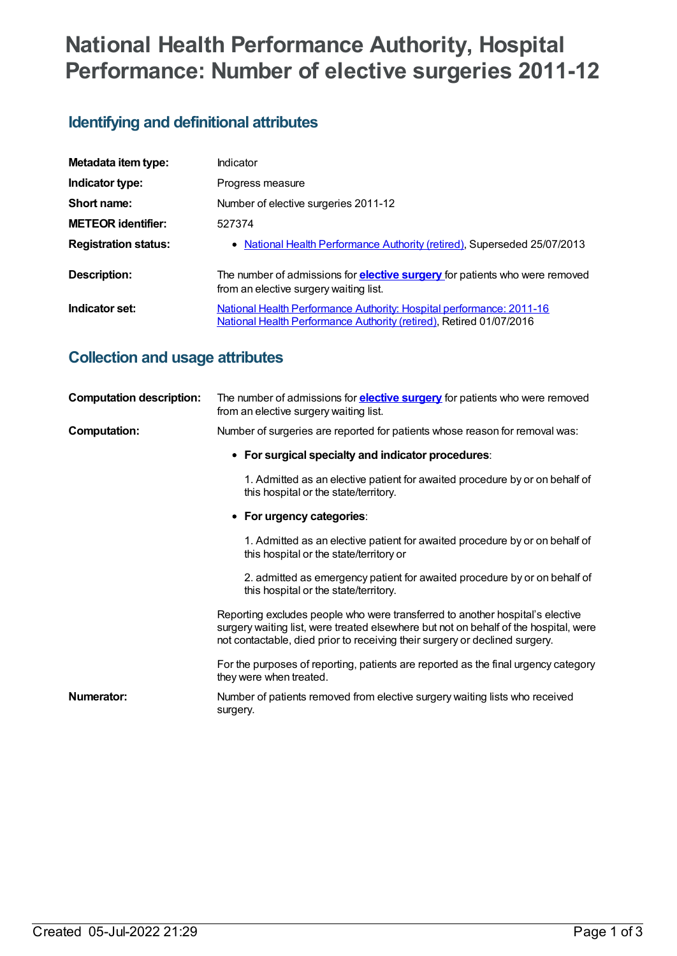# **National Health Performance Authority, Hospital Performance: Number of elective surgeries 2011-12**

# **Identifying and definitional attributes**

| Metadata item type:         | Indicator                                                                                                                                   |
|-----------------------------|---------------------------------------------------------------------------------------------------------------------------------------------|
| Indicator type:             | Progress measure                                                                                                                            |
| Short name:                 | Number of elective surgeries 2011-12                                                                                                        |
| <b>METEOR identifier:</b>   | 527374                                                                                                                                      |
| <b>Registration status:</b> | • National Health Performance Authority (retired), Superseded 25/07/2013                                                                    |
| <b>Description:</b>         | The number of admissions for <b>elective surgery</b> for patients who were removed<br>from an elective surgery waiting list.                |
| Indicator set:              | National Health Performance Authority: Hospital performance: 2011-16<br>National Health Performance Authority (retired), Retired 01/07/2016 |

# **Collection and usage attributes**

| <b>Computation description:</b> | The number of admissions for <b>elective surgery</b> for patients who were removed<br>from an elective surgery waiting list.                                                                                                                         |
|---------------------------------|------------------------------------------------------------------------------------------------------------------------------------------------------------------------------------------------------------------------------------------------------|
| Computation:                    | Number of surgeries are reported for patients whose reason for removal was:                                                                                                                                                                          |
|                                 | • For surgical specialty and indicator procedures:                                                                                                                                                                                                   |
|                                 | 1. Admitted as an elective patient for awaited procedure by or on behalf of<br>this hospital or the state/territory.                                                                                                                                 |
|                                 | • For urgency categories:                                                                                                                                                                                                                            |
|                                 | 1. Admitted as an elective patient for awaited procedure by or on behalf of<br>this hospital or the state/territory or                                                                                                                               |
|                                 | 2. admitted as emergency patient for awaited procedure by or on behalf of<br>this hospital or the state/territory.                                                                                                                                   |
|                                 | Reporting excludes people who were transferred to another hospital's elective<br>surgery waiting list, were treated elsewhere but not on behalf of the hospital, were<br>not contactable, died prior to receiving their surgery or declined surgery. |
|                                 | For the purposes of reporting, patients are reported as the final urgency category<br>they were when treated.                                                                                                                                        |
| Numerator:                      | Number of patients removed from elective surgery waiting lists who received<br>surgery.                                                                                                                                                              |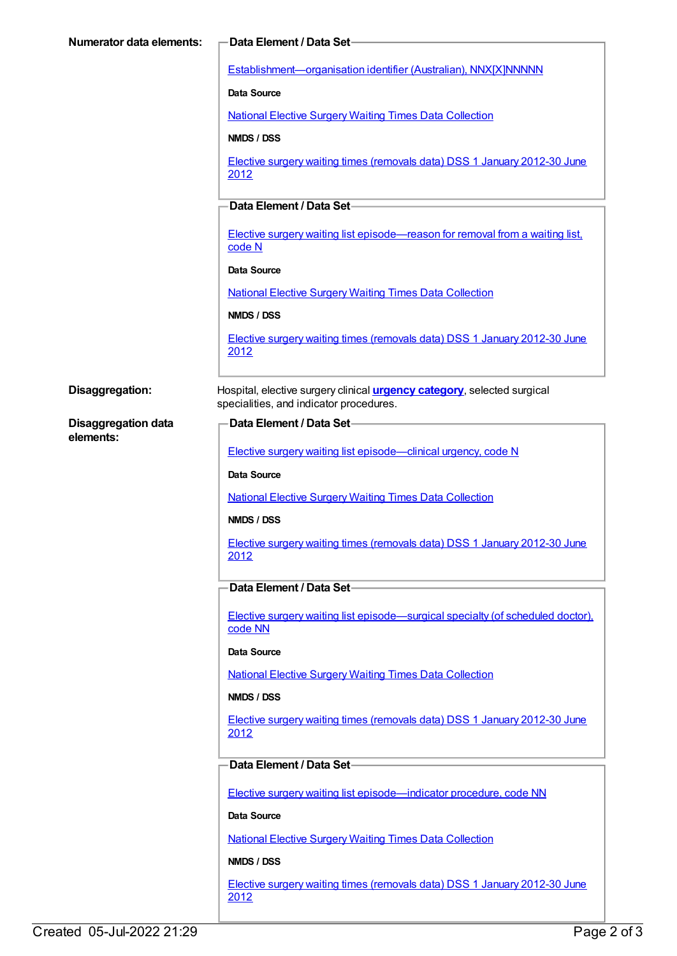| <b>Numerator data elements:</b> | Data Element / Data Set-                                                                                                   |
|---------------------------------|----------------------------------------------------------------------------------------------------------------------------|
|                                 | Establishment-organisation identifier (Australian), NNX[X]NNNNN                                                            |
|                                 | <b>Data Source</b>                                                                                                         |
|                                 | <b>National Elective Surgery Waiting Times Data Collection</b>                                                             |
|                                 | NMDS / DSS                                                                                                                 |
|                                 | Elective surgery waiting times (removals data) DSS 1 January 2012-30 June<br>2012                                          |
|                                 | Data Element / Data Set-                                                                                                   |
|                                 | Elective surgery waiting list episode—reason for removal from a waiting list,<br>code N                                    |
|                                 | Data Source                                                                                                                |
|                                 | <b>National Elective Surgery Waiting Times Data Collection</b>                                                             |
|                                 | NMDS / DSS                                                                                                                 |
|                                 | Elective surgery waiting times (removals data) DSS 1 January 2012-30 June<br>2012                                          |
| Disaggregation:                 | Hospital, elective surgery clinical <i>urgency category</i> , selected surgical<br>specialities, and indicator procedures. |
| <b>Disaggregation data</b>      | Data Element / Data Set-                                                                                                   |
| elements:                       | Elective surgery waiting list episode—clinical urgency, code N                                                             |
|                                 | <b>Data Source</b>                                                                                                         |
|                                 | <b>National Elective Surgery Waiting Times Data Collection</b>                                                             |
|                                 | NMDS / DSS                                                                                                                 |
|                                 | Elective surgery waiting times (removals data) DSS 1 January 2012-30 June<br><u>2012</u>                                   |
|                                 | Data Element / Data Set-                                                                                                   |
|                                 | Elective surgery waiting list episode—surgical specialty (of scheduled doctor).<br>code NN                                 |
|                                 | Data Source                                                                                                                |
|                                 | <b>National Elective Surgery Waiting Times Data Collection</b>                                                             |
|                                 | NMDS / DSS                                                                                                                 |
|                                 | Elective surgery waiting times (removals data) DSS 1 January 2012-30 June<br>2012                                          |
|                                 | Data Element / Data Set-                                                                                                   |
|                                 | Elective surgery waiting list episode—indicator procedure, code NN                                                         |
|                                 | Data Source                                                                                                                |
|                                 | <b>National Elective Surgery Waiting Times Data Collection</b>                                                             |
|                                 | NMDS / DSS                                                                                                                 |
|                                 | Elective surgery waiting times (removals data) DSS 1 January 2012-30 June<br>2012                                          |